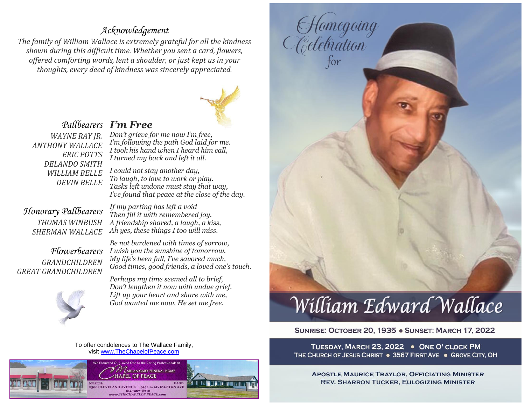# *Acknowledgement*

*The family of William Wallace is extremely grateful for all the kindness shown during this difficult time. Whether you sent a card, flowers, offered comforting words, lent a shoulder, or just kept us in your thoughts, every deed of kindness was sincerely appreciated.*



### *I'm Free Pallbearers Don't grieve for me now I'm free, I'm following the path God laid for me.*

*WAYNE RAY JR. ANTHONY WALLACE ERIC POTTS DELANDO SMITH WILLIAM BELLE DEVIN BELLE*

*Honorary Pallbearers THOMAS WINBUSH SHERMAN WALLACE*

*Flowerbearers GRANDCHILDREN GREAT GRANDCHILDREN*

*If my parting has left a void Then fill it with remembered joy. A friendship shared, a laugh, a kiss, Ah yes, these things I too will miss.*

*I took his hand when I heard him call,*

*I turned my back and left it all. I could not stay another day, To laugh, to love to work or play. Tasks left undone must stay that way, I've found that peace at the close of the day.*

*Be not burdened with times of sorrow, I wish you the sunshine of tomorrow. My life's been full, I've savored much, Good times, good friends, a loved one's touch.*



*Perhaps my time seemed all to brief, Don't lengthen it now with undue grief. Lift up your heart and share with me, God wanted me now, He set me free.*

To offer condolences to The Wallace Family, visit [www.TheChapelofPeace.com](http://www.thechapelofpeace.com/)



William Edward Wallace

Hamegoing<br>Celebration<br>for

## SUNRISE: OCTOBER 20, 1935 . SUNSET: MARCH 17, 2022

TUESDAY, MARCH 23, 2022 . ONE O' CLOCK PM THE CHURCH OF JESUS CHRIST . 3567 FIRST AVE . GROVE CITY, OH

**APOSTLE MAURICE TRAYLOR, OFFICIATING MINISTER REV. SHARRON TUCKER, EULOGIZING MINISTER**